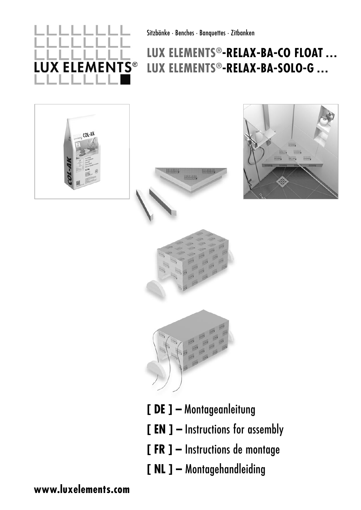

Sitzbänke · Benches · Banquettes · Zitbanken

## **LUX ELEMENTS®-RELAX-BA-CO FLOAT … LUX ELEMENTS®-RELAX-BA-SOLO-G …**











- **[ DE ] –** Montageanleitung
- **[ EN ] –** Instructions for assembly
- **[ FR ] –** Instructions de montage
- **[ NL ] –** Montagehandleiding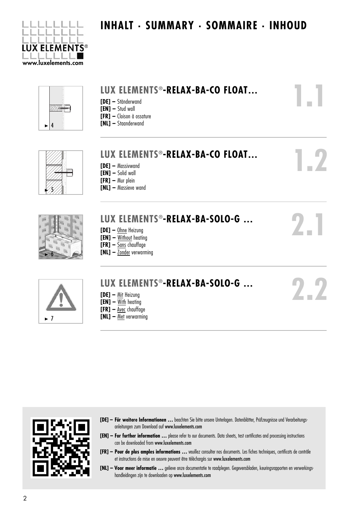

### **INHALT . SUMMARY . SOMMAIRE . INHOUD**

**1.1**

**1.2**

**2.1**

**2.2**



### **LUX ELEMENTS®-RELAX-BA-CO FLOAT…**

- **[DE]** Ständerwand
- **[EN]** Stud wall
- **[FR]** Cloison à ossature
- **[NL]** Staanderwand



#### **LUX ELEMENTS®-RELAX-BA-CO FLOAT… [DE] –** Massivwand **[EN] –** Solid wall **[FR] –** Mur plein

**[NL] –** Massieve wand



## **LUX ELEMENTS®-RELAX-BA-SOLO-G …**

- **[DE]** Ohne Heizung
- **[EN]** Without heating
- **[FR]** Sans chauffage
- **[NL]** Zonder verwarming



 $\blacktriangleright$  7

## **LUX ELEMENTS®-RELAX-BA-SOLO-G …**

- **[DE]** Mit Heizung
- **[EN]** With heating
- **[FR]** Avec chauffage
- **[NL]** Met verwarming



- [DE] Für weitere Informationen ... beachten Sie bitte unsere Unterlagen. Datenblätter, Prüfzeugnisse und Verarbeitungsanleitungen zum Download auf www.luxelements.com
- **[EN] – For further information …** please refer to our documents. Data sheets, test certificates and processing instructions can be downloaded from www.luxelements.com
- **[FR] – Pour de plus amples informations …** veuillez consulter nos documents. Les fiches techniques, certificats de contrôle et instructions de mise en oeuvre peuvent être téléchargés sur www.luxelements.com
- **[NL] Voor meer informatie …** gelieve onze documentatie te raadplegen. Gegevensbladen, keuringsrapporten en verwerkings handleidingen zijn te downloaden op www.luxelements.com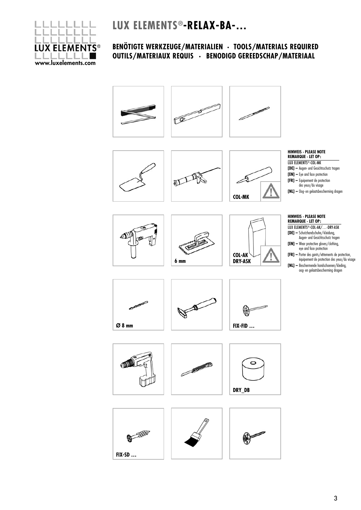**LUX ELEMENTS®-RELAX-BA-…**

## **LUX ELEMENTS®** www.luxelements.com

#### **BENÖTIGTE WERKZEUGE/MATERIALIEN · TOOLS/MATERIALS REQUIRED OUTILS/MATERIAUX REQUIS · BENODIGD GEREEDSCHAP/MATERIAAL**











╱







#### **HINWEIS · PLEASE NOTE REMARQUE · LET OP:**  LUX ELEMENTS<sup>®</sup>-COL-MK

- **[DE] –** Augen- und Gesichtsschutz tragen **[EN] –** Eye and face protection
- **[FR] –** Equipement de protection
- des yeux/du visage
- **[NL] –** Oog- en gelaatsbescherming dragen

#### **HINWEIS · PLEASE NOTE REMARQUE · LET OP:**

| LUX ELEMENTS®-COL-AK/-DRY-ASK                                                 |
|-------------------------------------------------------------------------------|
| <b>[DE]</b> - Schutzhandschuhe/-kleidung,<br>Augen- und Gesichtsschutz tragen |
| $FLMI =$ More protoctive gloves (clothing)                                    |

- $\blacksquare$  Wear protective gloves/clo eye and face protection
- **[FR] –** Porter des gants/vêtements de protection, équipement de protection des yeux/du visage
- **[NL] –** Beschermende handschoenen/kleding, oog- en gelaatsbescherming dragen

















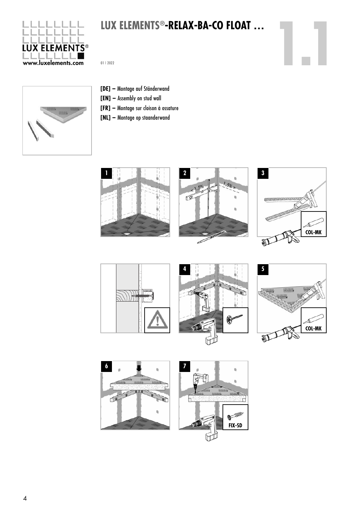

# **101X ELEMENTS®-RELAX-BA-CO FLOAT ...**<br>
01 | 2022<br>
01 | 2022



- **[DE] –** Montage auf Ständerwand
- **[EN] –** Assembly on stud wall
- **[FR] –** Montage sur cloison à ossature
- **[NL] –** Montage op staanderwand













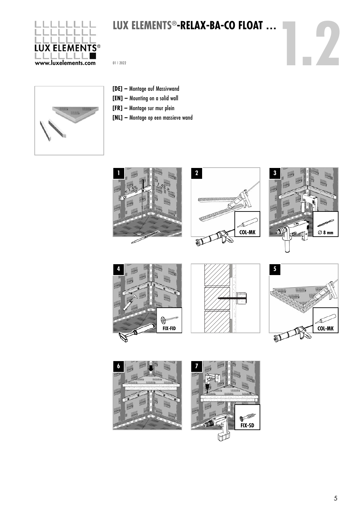

# **101X ELEMENTS®-RELAX-BA-CO FLOAT ...**<br>
12022<br>
12022



- **[DE] –** Montage auf Massivwand
- **[EN] –** Mounting on a solid wall
- **[FR] –** Montage sur mur plein
- **[NL] –** Montage op een massieve wand















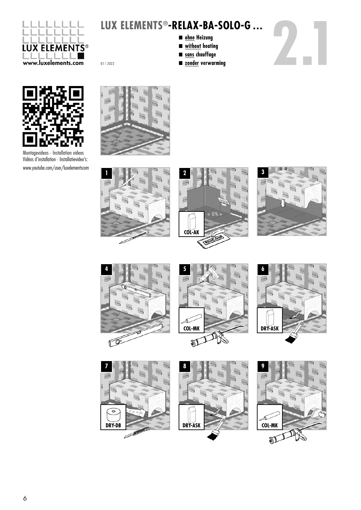

- n **ohne Heizung**
	- n **without heating**
	- n **sans chauffage**
	-





Montagevideos · Installation videos Vidéos d'installation · Installatievideo's: www.youtube.com/user/luxelementscom















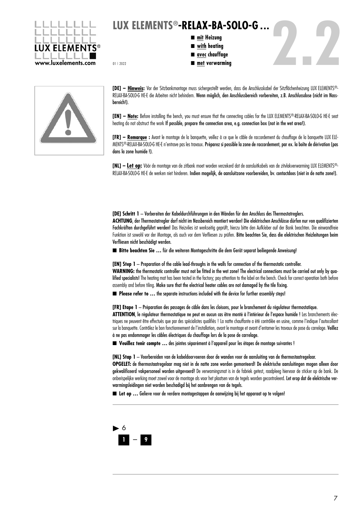

- n **mit Heizung**
	- n **with heating**
	- **■** avec chauffage
	-





**[DE] – Hinweis:** Vor der Sitzbankmontage muss sichergestellt werden, dass die Anschlusskabel der Sitzflächenheizung LUX ELEMENTS®- RELAX-BA-SOLO-G HE-E die Arbeiten nicht behindern. Wenn möglich, den Anschlussbereich vorbereiten, z.B. Anschlussdose (nicht im Nassbereich!).

[EN] - Note: Before installing the bench, you must ensure that the connecting cables for the LUX ELEMENTS®-RELAX-BA-SOLO-G HE-E seat heating do not obstruct the work If possible, prepare the connection area, e.g. connection box (not in the wet area!).

**[FR] – Remarque :** Avant le montage de la banquette, veillez à ce que le câble de raccordement du chauffage de la banquette LUX ELE-MENTS®-RELAX-BA-SOLO-G HE-E n'entrave pas les travaux. Préparez si possible la zone de raccordement, par ex. la boîte de dérivation (pas dans la zone humide !).

**[NL] – Let op:** Vóór de montage van de zitbank moet worden verzekerd dat de aansluitkabels van de zitvlakverwarming LUX ELEMENTS®- RELAX-BA-SOLO-G HE-E de werken niet hinderen. Indien mogelijk, de aansluitzone voorbereiden, bv. contactdoos (niet in de natte zone!).

**[DE] Schritt 1** – Vorbereiten der Kabeldurchführungen in den Wänden für den Anschluss des Thermostatreglers. **ACHTUNG**, der Thermostatregler darf nicht im Nassbereich montiert werden! Die elektrischen Anschlüsse dürfen nur von qualifizierten Fachkräften durchgeführt werden! Das Heizvlies ist werkseitig geprüft, hierzu bitte den Aufkleber auf der Bank beachten. Die einwandfreie Funktion ist sowohl vor der Montage, als auch vor dem Verfliesen zu prüfen. Bitte beachten Sie, dass die elektrischen Heizleitungen beim Verfliesen nicht beschädigt werden.

■ Bitte beachten Sie ... für die weiteren Montageschritte die dem Gerät separat beiliegende Anweisung!

**[EN] Step 1** – Preparation of the cable lead-throughs in the walls for connection of the thermostatic controller. **WARNING:** the thermostatic controller must not be fitted in the wet zone! The electrical connections must be carried out only by qualified specialists! The heating mat has been tested in the factory; pay attention to the label on the bench. Check for correct operation both before assembly and before tiling. Make sure that the electrical heater cables are not damaged by the tile fixing.

■ **Please refer to ...** the separate instructions included with the device for further assembly steps!

**[FR] Etape 1** – Préparation des passages de câble dans les cloisons, pour le branchement du régulateur thermostatique. ATTENTION, le régulateur thermostatique ne peut en aucun cas être monté à l'intérieur de l'espace humide ! Les branchements électriques ne peuvent être effectués que par des spécialistes qualifiés ! La natte chauffante a été contrôlée en usine, comme l'indique l'autocollant sur la banquette. Contrôlez le bon fonctionnement de l'installation, avant le montage et avant d'entamer les travaux de pose du carrelage. Veillez à ne pas endommager les câbles électriques du chauffage lors de la pose de carrelage.

n **Veuillez tenir compte …** des jointes séparément à l'appareil pour les étapes de montage suivantes !

**[NL] Stap 1** – Voorbereiden van de kabeldoorvoeren door de wanden voor de aansluiting van de thermostaatregelaar. **OPGELET:** de thermostaatregelaar mag niet in de natte zone worden gemonteerd! De elektrische aansluitingen mogen alleen door gekwalificeerd vakpersoneel worden uitgevoerd! De verwamingsmat is in de fabriek getest, raadpleeg hiervoor de sticker op de bank. De onberispelijke werking moet zowel voor de montage als voor het plaatsen van de tegels worden gecontroleerd. Let erop dat de elektrische verwarmingsleidingen niet worden beschadigd bij het aanbrengen van de tegels.

■ Let op ... Gelieve voor de verdere montagestappen de aanwijzing bij het apparaat op te volgen!